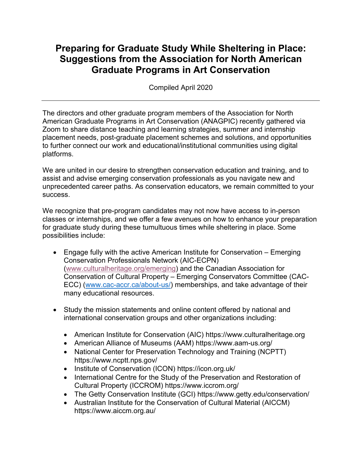## **Preparing for Graduate Study While Sheltering in Place: Suggestions from the Association for North American Graduate Programs in Art Conservation**

Compiled April 2020

The directors and other graduate program members of the Association for North American Graduate Programs in Art Conservation (ANAGPIC) recently gathered via Zoom to share distance teaching and learning strategies, summer and internship placement needs, post-graduate placement schemes and solutions, and opportunities to further connect our work and educational/institutional communities using digital platforms.

We are united in our desire to strengthen conservation education and training, and to assist and advise emerging conservation professionals as you navigate new and unprecedented career paths. As conservation educators, we remain committed to your success.

We recognize that pre-program candidates may not now have access to in-person classes or internships, and we offer a few avenues on how to enhance your preparation for graduate study during these tumultuous times while sheltering in place. Some possibilities include:

- Engage fully with the active American Institute for Conservation Emerging Conservation Professionals Network (AIC-ECPN) (www.culturalheritage.org/emerging) and the Canadian Association for Conservation of Cultural Property – Emerging Conservators Committee (CAC-ECC) (www.cac-accr.ca/about-us/) memberships, and take advantage of their many educational resources.
- Study the mission statements and online content offered by national and international conservation groups and other organizations including:
	- American Institute for Conservation (AIC) https://www.culturalheritage.org
	- American Alliance of Museums (AAM) https://www.aam-us.org/
	- National Center for Preservation Technology and Training (NCPTT) https://www.ncptt.nps.gov/
	- Institute of Conservation (ICON) https://icon.org.uk/
	- International Centre for the Study of the Preservation and Restoration of Cultural Property (ICCROM) https://www.iccrom.org/
	- The Getty Conservation Institute (GCI) https://www.getty.edu/conservation/
	- Australian Institute for the Conservation of Cultural Material (AICCM) https://www.aiccm.org.au/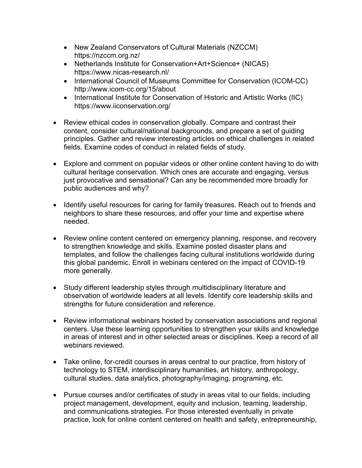- New Zealand Conservators of Cultural Materials (NZCCM) https://nzccm.org.nz/
- Netherlands Institute for Conservation+Art+Science+ (NICAS) https://www.nicas-research.nl/
- International Council of Museums Committee for Conservation (ICOM-CC) http://www.icom-cc.org/15/about
- International Institute for Conservation of Historic and Artistic Works (IIC) https://www.iiconservation.org/
- Review ethical codes in conservation globally. Compare and contrast their content, consider cultural/national backgrounds, and prepare a set of guiding principles. Gather and review interesting articles on ethical challenges in related fields. Examine codes of conduct in related fields of study.
- Explore and comment on popular videos or other online content having to do with cultural heritage conservation. Which ones are accurate and engaging, versus just provocative and sensational? Can any be recommended more broadly for public audiences and why?
- Identify useful resources for caring for family treasures. Reach out to friends and neighbors to share these resources, and offer your time and expertise where needed.
- Review online content centered on emergency planning, response, and recovery to strengthen knowledge and skills. Examine posted disaster plans and templates, and follow the challenges facing cultural institutions worldwide during this global pandemic. Enroll in webinars centered on the impact of COVID-19 more generally.
- Study different leadership styles through multidisciplinary literature and observation of worldwide leaders at all levels. Identify core leadership skills and strengths for future consideration and reference.
- Review informational webinars hosted by conservation associations and regional centers. Use these learning opportunities to strengthen your skills and knowledge in areas of interest and in other selected areas or disciplines. Keep a record of all webinars reviewed.
- Take online, for-credit courses in areas central to our practice, from history of technology to STEM, interdisciplinary humanities, art history, anthropology, cultural studies, data analytics, photography/imaging, programing, etc.
- Pursue courses and/or certificates of study in areas vital to our fields, including project management, development, equity and inclusion, teaming, leadership, and communications strategies. For those interested eventually in private practice, look for online content centered on health and safety, entrepreneurship,